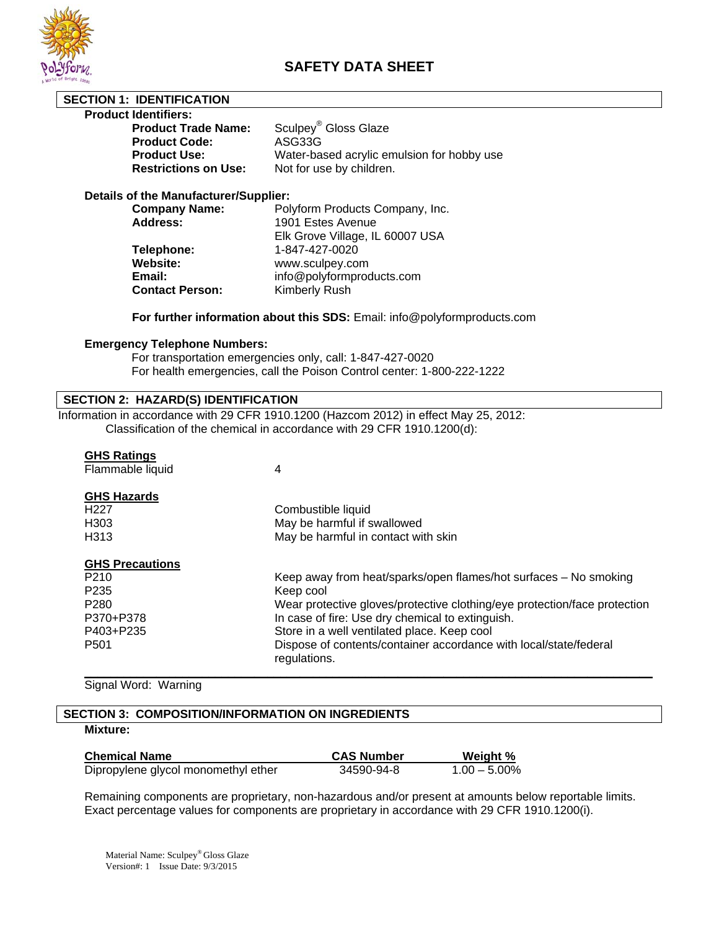

# **SAFETY DATA SHEET**

## **SECTION 1: IDENTIFICATION**

#### **Product Identifiers:**

| <b>Product Trade Name:</b>  | Sculpey <sup>®</sup> Gloss Glaze           |
|-----------------------------|--------------------------------------------|
| <b>Product Code:</b>        | ASG33G                                     |
| <b>Product Use:</b>         | Water-based acrylic emulsion for hobby use |
| <b>Restrictions on Use:</b> | Not for use by children.                   |

#### **Details of the Manufacturer/Supplier:**

| <b>Company Name:</b>   | Polyform Products Company, Inc. |
|------------------------|---------------------------------|
| <b>Address:</b>        | 1901 Estes Avenue               |
|                        | Elk Grove Village, IL 60007 USA |
| Telephone:             | 1-847-427-0020                  |
| Website:               | www.sculpey.com                 |
| Email:                 | info@polyformproducts.com       |
| <b>Contact Person:</b> | Kimberly Rush                   |
|                        |                                 |

## **For further information about this SDS:** Email: info@polyformproducts.com

#### **Emergency Telephone Numbers:**

 For transportation emergencies only, call: 1-847-427-0020 For health emergencies, call the Poison Control center: 1-800-222-1222

### **SECTION 2: HAZARD(S) IDENTIFICATION**

Information in accordance with 29 CFR 1910.1200 (Hazcom 2012) in effect May 25, 2012: Classification of the chemical in accordance with 29 CFR 1910.1200(d):

# **GHS Ratings**

| $\sim$ $\sim$<br>Flammable liquid | 4                                                                                 |
|-----------------------------------|-----------------------------------------------------------------------------------|
| <b>GHS Hazards</b>                |                                                                                   |
| H <sub>227</sub>                  | Combustible liquid                                                                |
| H <sub>303</sub>                  | May be harmful if swallowed                                                       |
| H313                              | May be harmful in contact with skin                                               |
| <b>GHS Precautions</b>            |                                                                                   |
| P <sub>210</sub>                  | Keep away from heat/sparks/open flames/hot surfaces – No smoking                  |
| P <sub>235</sub>                  | Keep cool                                                                         |
| P <sub>280</sub>                  | Wear protective gloves/protective clothing/eye protection/face protection         |
| P370+P378                         | In case of fire: Use dry chemical to extinguish.                                  |
| P403+P235                         | Store in a well ventilated place. Keep cool                                       |
| P <sub>501</sub>                  | Dispose of contents/container accordance with local/state/federal<br>regulations. |

**\_\_\_\_\_\_\_\_\_\_\_\_\_\_\_\_\_\_\_\_\_\_\_\_\_\_\_\_\_\_\_\_\_\_\_\_\_\_\_\_\_\_\_\_\_\_\_\_\_\_\_\_\_\_\_\_\_\_\_\_\_\_\_\_\_\_\_\_\_\_\_\_\_\_\_\_\_\_\_\_\_\_\_\_\_\_\_** 

Signal Word: Warning

## **SECTION 3: COMPOSITION/INFORMATION ON INGREDIENTS**

# **Mixture:**

| <b>Chemical Name</b>                | <b>CAS Number</b> | Weight %        |
|-------------------------------------|-------------------|-----------------|
| Dipropylene glycol monomethyl ether | 34590-94-8        | $1.00 - 5.00\%$ |

Remaining components are proprietary, non-hazardous and/or present at amounts below reportable limits. Exact percentage values for components are proprietary in accordance with 29 CFR 1910.1200(i).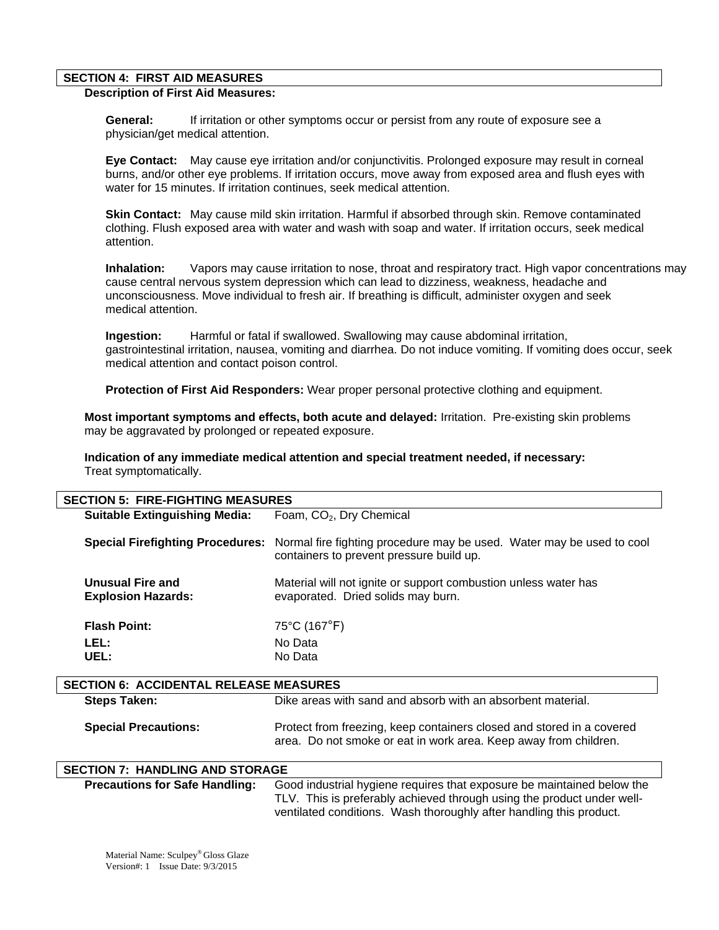#### **SECTION 4: FIRST AID MEASURES**

## **Description of First Aid Measures:**

 **General:** If irritation or other symptoms occur or persist from any route of exposure see a physician/get medical attention.

 **Eye Contact:** May cause eye irritation and/or conjunctivitis. Prolonged exposure may result in corneal burns, and/or other eye problems. If irritation occurs, move away from exposed area and flush eyes with water for 15 minutes. If irritation continues, seek medical attention.

 **Skin Contact:** May cause mild skin irritation. Harmful if absorbed through skin. Remove contaminated clothing. Flush exposed area with water and wash with soap and water. If irritation occurs, seek medical attention.

**Inhalation:** Vapors may cause irritation to nose, throat and respiratory tract. High vapor concentrations may cause central nervous system depression which can lead to dizziness, weakness, headache and unconsciousness. Move individual to fresh air. If breathing is difficult, administer oxygen and seek medical attention.

 **Ingestion:** Harmful or fatal if swallowed. Swallowing may cause abdominal irritation, gastrointestinal irritation, nausea, vomiting and diarrhea. Do not induce vomiting. If vomiting does occur, seek medical attention and contact poison control.

 **Protection of First Aid Responders:** Wear proper personal protective clothing and equipment.

**Most important symptoms and effects, both acute and delayed:** Irritation. Pre-existing skin problems may be aggravated by prolonged or repeated exposure.

**Indication of any immediate medical attention and special treatment needed, if necessary:** Treat symptomatically.

| <b>SECTION 5: FIRE-FIGHTING MEASURES</b>      |                                                                                                                                                                                                                         |  |
|-----------------------------------------------|-------------------------------------------------------------------------------------------------------------------------------------------------------------------------------------------------------------------------|--|
| <b>Suitable Extinguishing Media:</b>          | Foam, CO <sub>2</sub> , Dry Chemical                                                                                                                                                                                    |  |
| <b>Special Firefighting Procedures:</b>       | Normal fire fighting procedure may be used. Water may be used to cool<br>containers to prevent pressure build up.                                                                                                       |  |
| Unusual Fire and<br><b>Explosion Hazards:</b> | Material will not ignite or support combustion unless water has<br>evaporated. Dried solids may burn.                                                                                                                   |  |
| <b>Flash Point:</b>                           | 75°C (167°F)                                                                                                                                                                                                            |  |
| LEL:                                          | No Data                                                                                                                                                                                                                 |  |
| UEL:                                          | No Data                                                                                                                                                                                                                 |  |
|                                               |                                                                                                                                                                                                                         |  |
| <b>SECTION 6: ACCIDENTAL RELEASE MEASURES</b> |                                                                                                                                                                                                                         |  |
| <b>Steps Taken:</b>                           | Dike areas with sand and absorb with an absorbent material.                                                                                                                                                             |  |
| <b>Special Precautions:</b>                   | Protect from freezing, keep containers closed and stored in a covered<br>area. Do not smoke or eat in work area. Keep away from children.                                                                               |  |
| <b>SECTION 7: HANDLING AND STORAGE</b>        |                                                                                                                                                                                                                         |  |
| <b>Precautions for Safe Handling:</b>         | Good industrial hygiene requires that exposure be maintained below the<br>TLV. This is preferably achieved through using the product under well-<br>ventilated conditions. Wash thoroughly after handling this product. |  |

Material Name: Sculpey® Gloss Glaze Version#: 1 Issue Date: 9/3/2015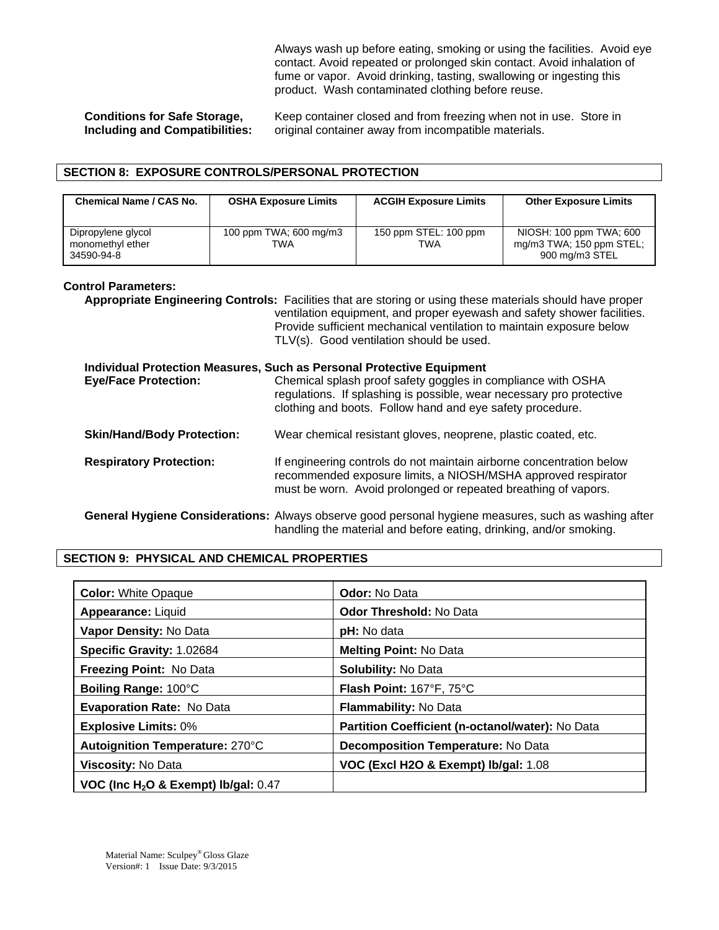Always wash up before eating, smoking or using the facilities. Avoid eye contact. Avoid repeated or prolonged skin contact. Avoid inhalation of fume or vapor. Avoid drinking, tasting, swallowing or ingesting this product. Wash contaminated clothing before reuse.

**Conditions for Safe Storage,** Keep container closed and from freezing when not in use. Store in Including and Compatibilities: original container away from incompatible materials. **Including and Container away from incompatible materials.** 

## **SECTION 8: EXPOSURE CONTROLS/PERSONAL PROTECTION**

| <b>Chemical Name / CAS No.</b>                       | <b>OSHA Exposure Limits</b>   | <b>ACGIH Exposure Limits</b> | <b>Other Exposure Limits</b>                                          |
|------------------------------------------------------|-------------------------------|------------------------------|-----------------------------------------------------------------------|
| Dipropylene glycol<br>monomethyl ether<br>34590-94-8 | 100 ppm TWA; 600 mg/m3<br>TWA | 150 ppm STEL: 100 ppm<br>TWA | NIOSH: 100 ppm TWA; 600<br>mg/m3 TWA; 150 ppm STEL;<br>900 mg/m3 STEL |

#### **Control Parameters:**

**Appropriate Engineering Controls:** Facilities that are storing or using these materials should have proper ventilation equipment, and proper eyewash and safety shower facilities. Provide sufficient mechanical ventilation to maintain exposure below TLV(s). Good ventilation should be used.

# **Individual Protection Measures, Such as Personal Protective Equipment Eye/Face Protection:** Chemical splash proof safety goggles in compliance with OSHA regulations. If splashing is possible, wear necessary pro protective clothing and boots. Follow hand and eye safety procedure. **Skin/Hand/Body Protection:** Wear chemical resistant gloves, neoprene, plastic coated, etc. **Respiratory Protection:** If engineering controls do not maintain airborne concentration below recommended exposure limits, a NIOSH/MSHA approved respirator must be worn. Avoid prolonged or repeated breathing of vapors. **General Hygiene Considerations:** Always observe good personal hygiene measures, such as washing after handling the material and before eating, drinking, and/or smoking.

## **SECTION 9: PHYSICAL AND CHEMICAL PROPERTIES**

| <b>Color: White Opaque</b>               | <b>Odor: No Data</b>                             |
|------------------------------------------|--------------------------------------------------|
| Appearance: Liquid                       | <b>Odor Threshold: No Data</b>                   |
| Vapor Density: No Data                   | pH: No data                                      |
| Specific Gravity: 1.02684                | <b>Melting Point: No Data</b>                    |
| Freezing Point: No Data                  | <b>Solubility: No Data</b>                       |
| Boiling Range: 100°C                     | Flash Point: 167°F, 75°C                         |
| <b>Evaporation Rate: No Data</b>         | Flammability: No Data                            |
| <b>Explosive Limits: 0%</b>              | Partition Coefficient (n-octanol/water): No Data |
| Autoignition Temperature: 270°C          | <b>Decomposition Temperature: No Data</b>        |
| Viscosity: No Data                       | VOC (Excl H2O & Exempt) lb/gal: 1.08             |
| VOC (Inc $H_2O$ & Exempt) lb/gal: $0.47$ |                                                  |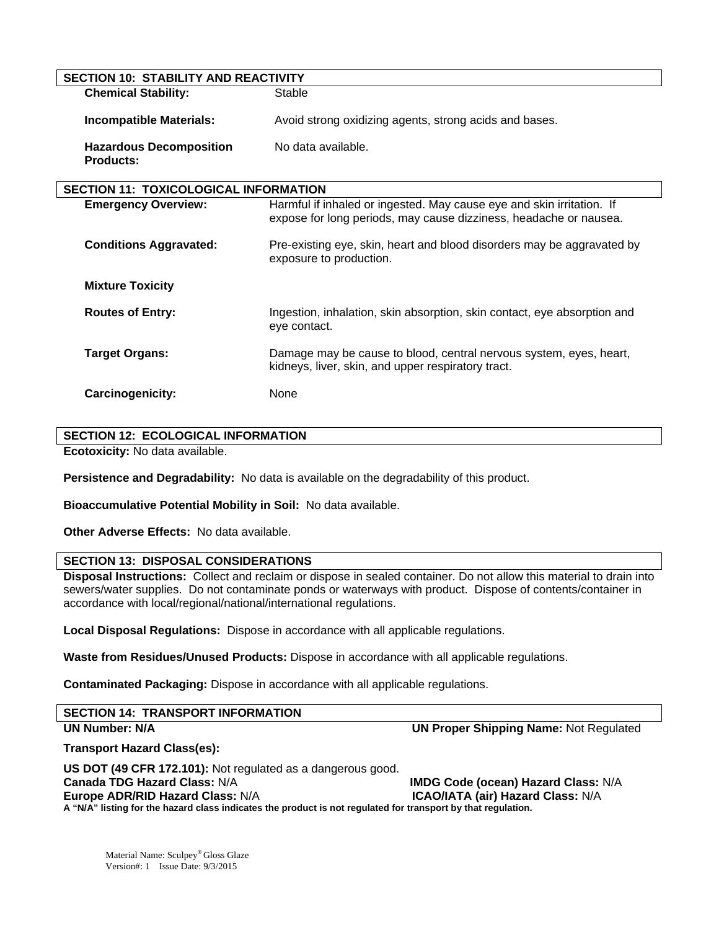| <b>SECTION 10: STABILITY AND REACTIVITY</b>        |                                                                                                                                            |  |
|----------------------------------------------------|--------------------------------------------------------------------------------------------------------------------------------------------|--|
| <b>Chemical Stability:</b>                         | Stable                                                                                                                                     |  |
| Incompatible Materials:                            | Avoid strong oxidizing agents, strong acids and bases.                                                                                     |  |
| <b>Hazardous Decomposition</b><br><b>Products:</b> | No data available.                                                                                                                         |  |
| <b>SECTION 11: TOXICOLOGICAL INFORMATION</b>       |                                                                                                                                            |  |
| <b>Emergency Overview:</b>                         | Harmful if inhaled or ingested. May cause eye and skin irritation. If<br>expose for long periods, may cause dizziness, headache or nausea. |  |
| <b>Conditions Aggravated:</b>                      | Pre-existing eye, skin, heart and blood disorders may be aggravated by<br>exposure to production.                                          |  |
| <b>Mixture Toxicity</b>                            |                                                                                                                                            |  |
| <b>Routes of Entry:</b>                            | Ingestion, inhalation, skin absorption, skin contact, eye absorption and<br>eye contact.                                                   |  |
| <b>Target Organs:</b>                              | Damage may be cause to blood, central nervous system, eyes, heart,<br>kidneys, liver, skin, and upper respiratory tract.                   |  |
| Carcinogenicity:                                   | None                                                                                                                                       |  |

#### **SECTION 12: ECOLOGICAL INFORMATION**

**Ecotoxicity:** No data available.

**Persistence and Degradability:** No data is available on the degradability of this product.

**Bioaccumulative Potential Mobility in Soil:** No data available.

**Other Adverse Effects:** No data available.

## **SECTION 13: DISPOSAL CONSIDERATIONS**

**Disposal Instructions:** Collect and reclaim or dispose in sealed container. Do not allow this material to drain into sewers/water supplies. Do not contaminate ponds or waterways with product. Dispose of contents/container in accordance with local/regional/national/international regulations.

**Local Disposal Regulations:** Dispose in accordance with all applicable regulations.

**Waste from Residues/Unused Products:** Dispose in accordance with all applicable regulations.

**Contaminated Packaging:** Dispose in accordance with all applicable regulations.

| <b>SECTION 14: TRANSPORT INFORMATION</b> |                                               |
|------------------------------------------|-----------------------------------------------|
| <b>UN Number: N/A</b>                    | <b>UN Proper Shipping Name: Not Regulated</b> |

## **Transport Hazard Class(es):**

**US DOT (49 CFR 172.101):** Not regulated as a dangerous good. **IMDG Code (ocean) Hazard Class: N/A <b>ICAO/IATA (air) Hazard Class: N/A Europe ADR/RID Hazard Class: N/A A "N/A" listing for the hazard class indicates the product is not regulated for transport by that regulation.**